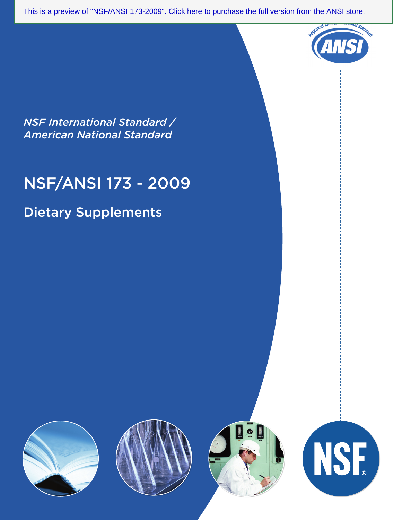

*NSF International Standard / American National Standard*

# NSF/ANSI 173 - 2009

## Dietary Supplements

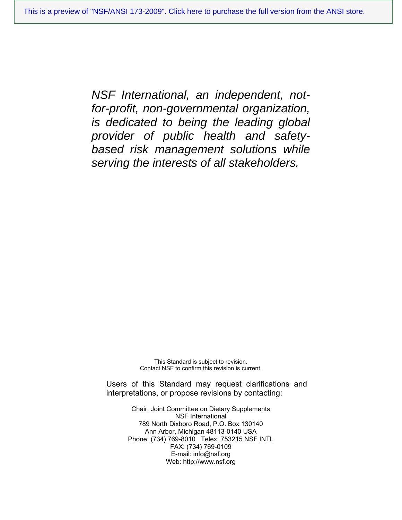*NSF International, an independent, notfor-profit, non-governmental organization, is dedicated to being the leading global provider of public health and safetybased risk management solutions while serving the interests of all stakeholders.* 

> This Standard is subject to revision. Contact NSF to confirm this revision is current.

Users of this Standard may request clarifications and interpretations, or propose revisions by contacting:

> Chair, Joint Committee on Dietary Supplements NSF International 789 North Dixboro Road, P.O. Box 130140 Ann Arbor, Michigan 48113-0140 USA Phone: (734) 769-8010 Telex: 753215 NSF INTL FAX: (734) 769-0109 E-mail: info@nsf.org Web: http://www.nsf.org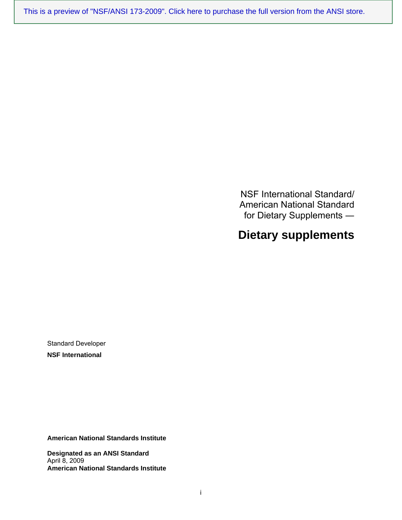NSF International Standard/ American National Standard for Dietary Supplements ―

## **Dietary supplements**

Standard Developer **NSF International**

**American National Standards Institute** 

**Designated as an ANSI Standard**  April 8, 2009 **American National Standards Institute**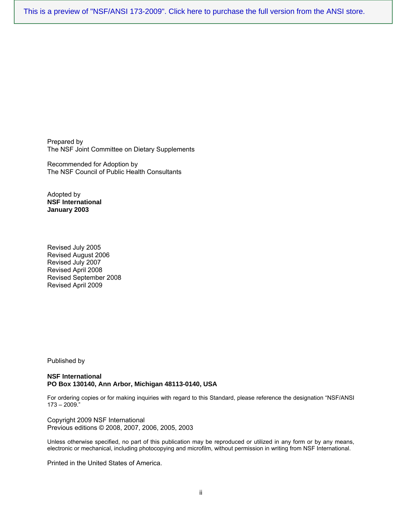Prepared by The NSF Joint Committee on Dietary Supplements

Recommended for Adoption by The NSF Council of Public Health Consultants

Adopted by **NSF International January 2003** 

Revised July 2005 Revised August 2006 Revised July 2007 Revised April 2008 Revised September 2008 Revised April 2009

Published by

#### **NSF International PO Box 130140, Ann Arbor, Michigan 48113-0140, USA**

For ordering copies or for making inquiries with regard to this Standard, please reference the designation "NSF/ANSI  $173 - 2009$ ."

Copyright 2009 NSF International Previous editions © 2008, 2007, 2006, 2005, 2003

Unless otherwise specified, no part of this publication may be reproduced or utilized in any form or by any means, electronic or mechanical, including photocopying and microfilm, without permission in writing from NSF International.

Printed in the United States of America.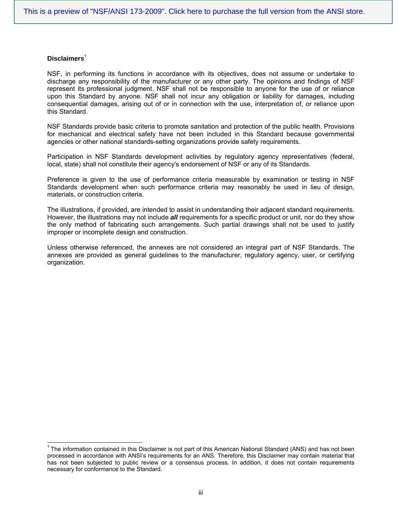#### **Disclaimers**<sup>1</sup>

l

NSF, in performing its functions in accordance with its objectives, does not assume or undertake to discharge any responsibility of the manufacturer or any other party. The opinions and findings of NSF represent its professional judgment. NSF shall not be responsible to anyone for the use of or reliance upon this Standard by anyone. NSF shall not incur any obligation or liability for damages, including consequential damages, arising out of or in connection with the use, interpretation of, or reliance upon this Standard.

NSF Standards provide basic criteria to promote sanitation and protection of the public health. Provisions for mechanical and electrical safety have not been included in this Standard because governmental agencies or other national standards-setting organizations provide safety requirements.

Participation in NSF Standards development activities by regulatory agency representatives (federal, local, state) shall not constitute their agency's endorsement of NSF or any of its Standards.

Preference is given to the use of performance criteria measurable by examination or testing in NSF Standards development when such performance criteria may reasonably be used in lieu of design, materials, or construction criteria.

The illustrations, if provided, are intended to assist in understanding their adjacent standard requirements. However, the illustrations may not include *all* requirements for a specific product or unit, nor do they show the only method of fabricating such arrangements. Such partial drawings shall not be used to justify improper or incomplete design and construction.

Unless otherwise referenced, the annexes are not considered an integral part of NSF Standards. The annexes are provided as general guidelines to the manufacturer, regulatory agency, user, or certifying organization.

<sup>&</sup>lt;sup>1</sup> The information contained in this Disclaimer is not part of this American National Standard (ANS) and has not been processed in accordance with ANSI's requirements for an ANS. Therefore, this Disclaimer may contain material that has not been subjected to public review or a consensus process. In addition, it does not contain requirements necessary for conformance to the Standard.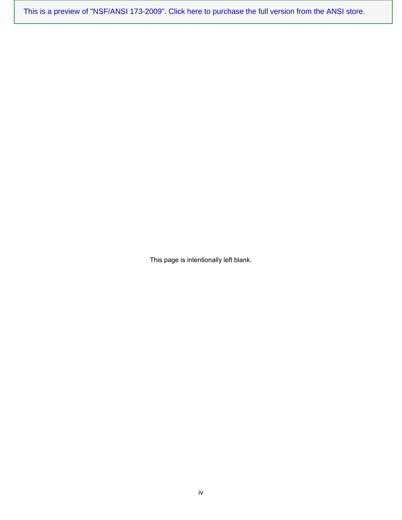This page is intentionally left blank.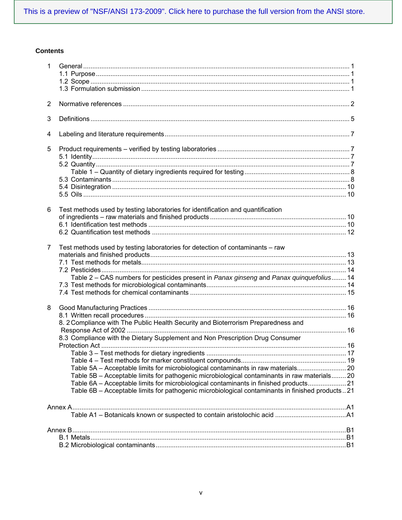### **Contents**

| 1 |                                                                                                                                                                                       |  |
|---|---------------------------------------------------------------------------------------------------------------------------------------------------------------------------------------|--|
|   |                                                                                                                                                                                       |  |
| 2 |                                                                                                                                                                                       |  |
| 3 |                                                                                                                                                                                       |  |
| 4 |                                                                                                                                                                                       |  |
| 5 |                                                                                                                                                                                       |  |
|   |                                                                                                                                                                                       |  |
|   |                                                                                                                                                                                       |  |
|   |                                                                                                                                                                                       |  |
|   |                                                                                                                                                                                       |  |
|   |                                                                                                                                                                                       |  |
| 6 | Test methods used by testing laboratories for identification and quantification                                                                                                       |  |
|   |                                                                                                                                                                                       |  |
|   |                                                                                                                                                                                       |  |
|   |                                                                                                                                                                                       |  |
| 7 | Test methods used by testing laboratories for detection of contaminants - raw                                                                                                         |  |
|   |                                                                                                                                                                                       |  |
|   |                                                                                                                                                                                       |  |
|   |                                                                                                                                                                                       |  |
|   | Table 2 - CAS numbers for pesticides present in Panax ginseng and Panax quinquefolius 14                                                                                              |  |
|   |                                                                                                                                                                                       |  |
|   |                                                                                                                                                                                       |  |
| 8 |                                                                                                                                                                                       |  |
|   |                                                                                                                                                                                       |  |
|   | 8. 2 Compliance with The Public Health Security and Bioterrorism Preparedness and                                                                                                     |  |
|   | 8.3 Compliance with the Dietary Supplement and Non Prescription Drug Consumer                                                                                                         |  |
|   |                                                                                                                                                                                       |  |
|   |                                                                                                                                                                                       |  |
|   |                                                                                                                                                                                       |  |
|   | Table 5A - Acceptable limits for microbiological contaminants in raw materials 20                                                                                                     |  |
|   | Table 5B - Acceptable limits for pathogenic microbiological contaminants in raw materials 20<br>Table 6A - Acceptable limits for microbiological contaminants in finished products 21 |  |
|   | Table 6B - Acceptable limits for pathogenic microbiological contaminants in finished products21                                                                                       |  |
|   |                                                                                                                                                                                       |  |
|   |                                                                                                                                                                                       |  |
|   |                                                                                                                                                                                       |  |
|   |                                                                                                                                                                                       |  |
|   |                                                                                                                                                                                       |  |
|   |                                                                                                                                                                                       |  |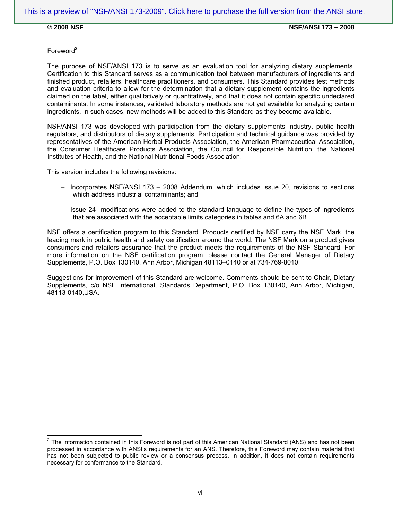**© 2008 NSF NSF/ANSI 173 – 2008** 

#### Foreword**<sup>2</sup>**

The purpose of NSF/ANSI 173 is to serve as an evaluation tool for analyzing dietary supplements. Certification to this Standard serves as a communication tool between manufacturers of ingredients and finished product, retailers, healthcare practitioners, and consumers. This Standard provides test methods and evaluation criteria to allow for the determination that a dietary supplement contains the ingredients claimed on the label, either qualitatively or quantitatively, and that it does not contain specific undeclared contaminants. In some instances, validated laboratory methods are not yet available for analyzing certain ingredients. In such cases, new methods will be added to this Standard as they become available.

NSF/ANSI 173 was developed with participation from the dietary supplements industry, public health regulators, and distributors of dietary supplements. Participation and technical guidance was provided by representatives of the American Herbal Products Association, the American Pharmaceutical Association, the Consumer Healthcare Products Association, the Council for Responsible Nutrition, the National Institutes of Health, and the National Nutritional Foods Association.

This version includes the following revisions:

- Incorporates NSF/ANSI 173 2008 Addendum, which includes issue 20, revisions to sections which address industrial contaminants; and
- Issue 24 modifications were added to the standard language to define the types of ingredients that are associated with the acceptable limits categories in tables and 6A and 6B.

NSF offers a certification program to this Standard. Products certified by NSF carry the NSF Mark, the leading mark in public health and safety certification around the world. The NSF Mark on a product gives consumers and retailers assurance that the product meets the requirements of the NSF Standard. For more information on the NSF certification program, please contact the General Manager of Dietary Supplements, P.O. Box 130140, Ann Arbor, Michigan 48113–0140 or at 734-769-8010.

Suggestions for improvement of this Standard are welcome. Comments should be sent to Chair, Dietary Supplements, c/o NSF International, Standards Department, P.O. Box 130140, Ann Arbor, Michigan, 48113-0140,USA.

<sup>2&</sup>lt;br><sup>2</sup> The information contained in this Foreword is not part of this American National Standard (ANS) and has not been processed in accordance with ANSI's requirements for an ANS. Therefore, this Foreword may contain material that has not been subjected to public review or a consensus process. In addition, it does not contain requirements necessary for conformance to the Standard.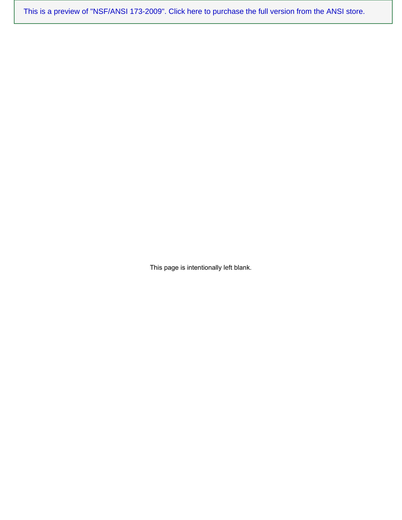This page is intentionally left blank.